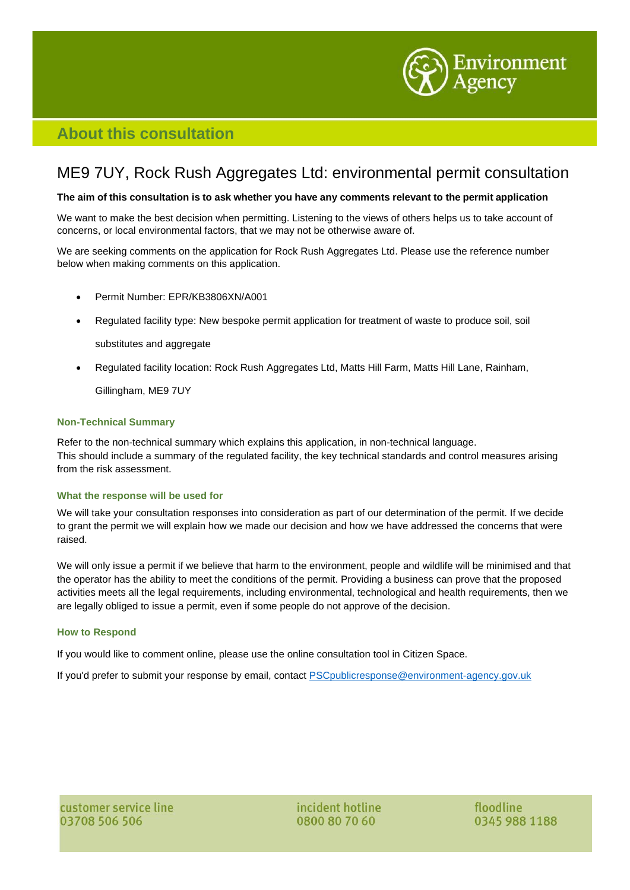

## **About this consultation**

# ME9 7UY, Rock Rush Aggregates Ltd: environmental permit consultation

### The aim of this consultation is to ask whether you have any comments relevant to the permit application

We want to make the best decision when permitting. Listening to the views of others helps us to take account of concerns, or local environmental factors, that we may not be otherwise aware of.

We are seeking comments on the application for Rock Rush Aggregates Ltd. Please use the reference number below when making comments on this application.

- Permit Number: EPR/KB3806XN/A001
- Regulated facility type: New bespoke permit application for treatment of waste to produce soil, soil

substitutes and aggregate

• Regulated facility location: Rock Rush Aggregates Ltd, Matts Hill Farm, Matts Hill Lane, Rainham,

Gillingham, ME9 7UY

### **Non-Technical Summary**

Refer to the non-technical summary which explains this application, in non-technical language. This should include a summary of the regulated facility, the key technical standards and control measures arising from the risk assessment.

### **What the response will be used for**

We will take your consultation responses into consideration as part of our determination of the permit. If we decide to grant the permit we will explain how we made our decision and how we have addressed the concerns that were raised.

We will only issue a permit if we believe that harm to the environment, people and wildlife will be minimised and that the operator has the ability to meet the conditions of the permit. Providing a business can prove that the proposed activities meets all the legal requirements, including environmental, technological and health requirements, then we are legally obliged to issue a permit, even if some people do not approve of the decision.

### **How to Respond**

If you would like to comment online, please use the online consultation tool in Citizen Space.

If you'd prefer to submit your response by email, contact **[PSCpublicresponse@environment-agency.gov.uk](mailto:PSCpublicresponse@environment-agency.gov.uk)** 

incident hotline 0800 80 70 60

floodline 0345 988 1188